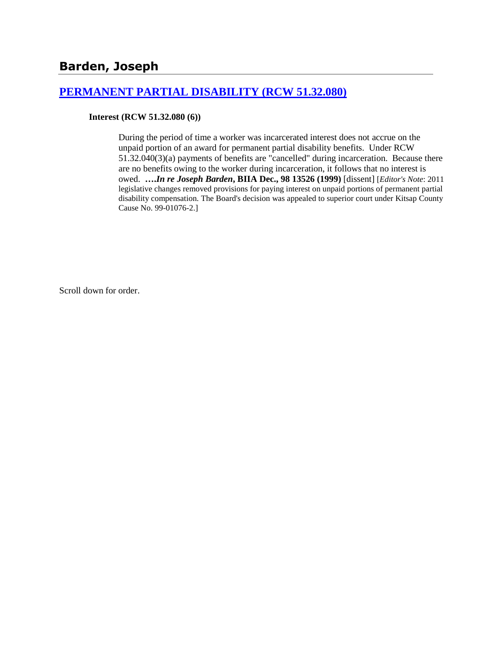## **[PERMANENT PARTIAL DISABILITY \(RCW 51.32.080\)](http://www.biia.wa.gov/SDSubjectIndex.html#PERMANENT_PARTIAL_DISABILITY)**

**Interest (RCW 51.32.080 (6))**

During the period of time a worker was incarcerated interest does not accrue on the unpaid portion of an award for permanent partial disability benefits. Under RCW 51.32.040(3)(a) payments of benefits are "cancelled" during incarceration. Because there are no benefits owing to the worker during incarceration, it follows that no interest is owed. **….***In re Joseph Barden***, BIIA Dec., 98 13526 (1999)** [dissent] [*Editor's Note*: 2011 legislative changes removed provisions for paying interest on unpaid portions of permanent partial disability compensation. The Board's decision was appealed to superior court under Kitsap County Cause No. 99-01076-2.]

Scroll down for order.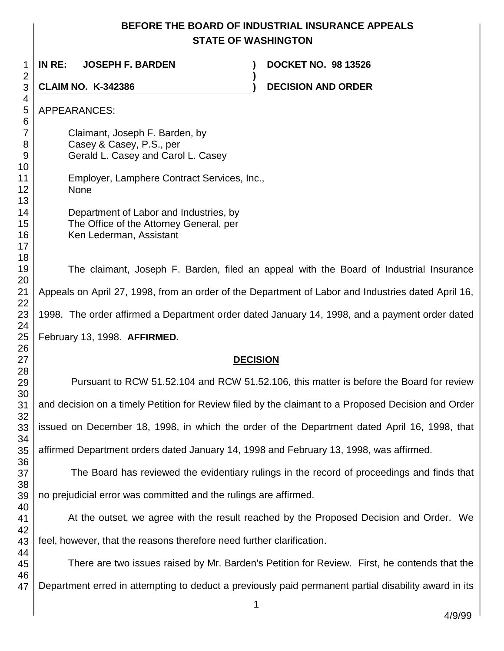# **BEFORE THE BOARD OF INDUSTRIAL INSURANCE APPEALS STATE OF WASHINGTON**

**)**

 **IN RE: JOSEPH F. BARDEN ) DOCKET NO. 98 13526**

**CLAIM NO. K-342386 ) DECISION AND ORDER** 

APPEARANCES:

Claimant, Joseph F. Barden, by Casey & Casey, P.S., per Gerald L. Casey and Carol L. Casey

Employer, Lamphere Contract Services, Inc., None

> Department of Labor and Industries, by The Office of the Attorney General, per Ken Lederman, Assistant

The claimant, Joseph F. Barden, filed an appeal with the Board of Industrial Insurance Appeals on April 27, 1998, from an order of the Department of Labor and Industries dated April 16, 1998. The order affirmed a Department order dated January 14, 1998, and a payment order dated February 13, 1998. **AFFIRMED.**

### **DECISION**

Pursuant to RCW 51.52.104 and RCW 51.52.106, this matter is before the Board for review and decision on a timely Petition for Review filed by the claimant to a Proposed Decision and Order issued on December 18, 1998, in which the order of the Department dated April 16, 1998, that affirmed Department orders dated January 14, 1998 and February 13, 1998, was affirmed.

 The Board has reviewed the evidentiary rulings in the record of proceedings and finds that no prejudicial error was committed and the rulings are affirmed.

At the outset, we agree with the result reached by the Proposed Decision and Order. We feel, however, that the reasons therefore need further clarification.

 There are two issues raised by Mr. Barden's Petition for Review. First, he contends that the Department erred in attempting to deduct a previously paid permanent partial disability award in its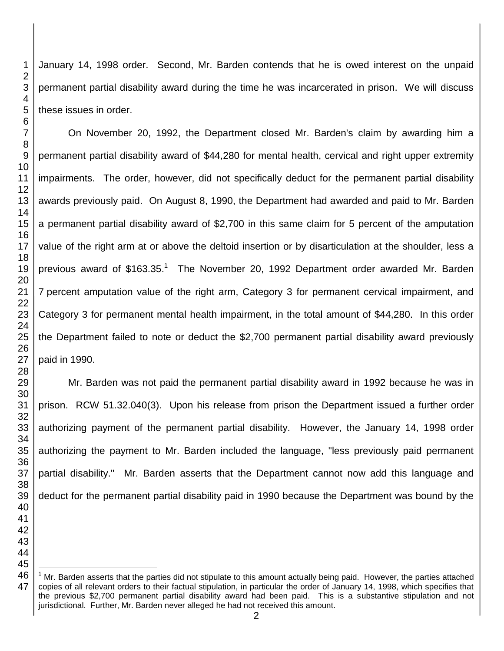January 14, 1998 order. Second, Mr. Barden contends that he is owed interest on the unpaid permanent partial disability award during the time he was incarcerated in prison. We will discuss these issues in order.

On November 20, 1992, the Department closed Mr. Barden's claim by awarding him a permanent partial disability award of \$44,280 for mental health, cervical and right upper extremity impairments. The order, however, did not specifically deduct for the permanent partial disability awards previously paid. On August 8, 1990, the Department had awarded and paid to Mr. Barden a permanent partial disability award of \$2,700 in this same claim for 5 percent of the amputation value of the right arm at or above the deltoid insertion or by disarticulation at the shoulder, less a previous award of \$163.35.<sup>1</sup> The November 20, 1992 Department order awarded Mr. Barden percent amputation value of the right arm, Category 3 for permanent cervical impairment, and Category 3 for permanent mental health impairment, in the total amount of \$44,280. In this order the Department failed to note or deduct the \$2,700 permanent partial disability award previously paid in 1990.

Mr. Barden was not paid the permanent partial disability award in 1992 because he was in prison. RCW 51.32.040(3). Upon his release from prison the Department issued a further order authorizing payment of the permanent partial disability. However, the January 14, 1998 order authorizing the payment to Mr. Barden included the language, "less previously paid permanent partial disability." Mr. Barden asserts that the Department cannot now add this language and deduct for the permanent partial disability paid in 1990 because the Department was bound by the

l

 

 Mr. Barden asserts that the parties did not stipulate to this amount actually being paid. However, the parties attached copies of all relevant orders to their factual stipulation, in particular the order of January 14, 1998, which specifies that the previous \$2,700 permanent partial disability award had been paid. This is a substantive stipulation and not jurisdictional. Further, Mr. Barden never alleged he had not received this amount.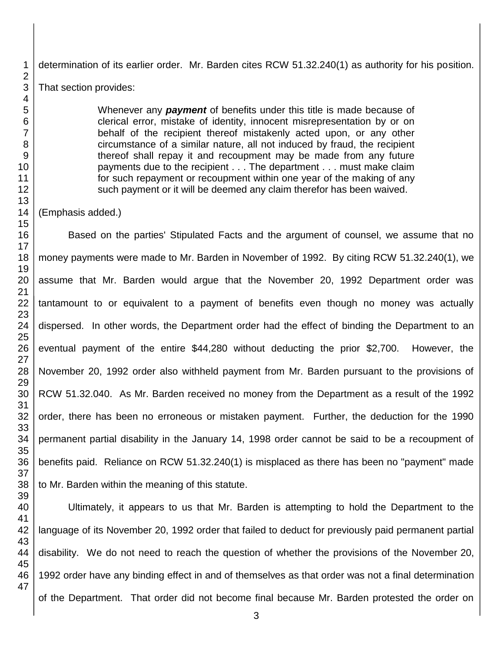determination of its earlier order. Mr. Barden cites RCW 51.32.240(1) as authority for his position. That section provides:

> Whenever any *payment* of benefits under this title is made because of clerical error, mistake of identity, innocent misrepresentation by or on behalf of the recipient thereof mistakenly acted upon, or any other circumstance of a similar nature, all not induced by fraud, the recipient thereof shall repay it and recoupment may be made from any future payments due to the recipient . . . The department . . . must make claim for such repayment or recoupment within one year of the making of any such payment or it will be deemed any claim therefor has been waived.

#### (Emphasis added.)

Based on the parties' Stipulated Facts and the argument of counsel, we assume that no money payments were made to Mr. Barden in November of 1992. By citing RCW 51.32.240(1), we assume that Mr. Barden would argue that the November 20, 1992 Department order was tantamount to or equivalent to a payment of benefits even though no money was actually dispersed. In other words, the Department order had the effect of binding the Department to an eventual payment of the entire \$44,280 without deducting the prior \$2,700. However, the November 20, 1992 order also withheld payment from Mr. Barden pursuant to the provisions of RCW 51.32.040. As Mr. Barden received no money from the Department as a result of the 1992 order, there has been no erroneous or mistaken payment. Further, the deduction for the 1990 permanent partial disability in the January 14, 1998 order cannot be said to be a recoupment of benefits paid. Reliance on RCW 51.32.240(1) is misplaced as there has been no "payment" made to Mr. Barden within the meaning of this statute.

Ultimately, it appears to us that Mr. Barden is attempting to hold the Department to the language of its November 20, 1992 order that failed to deduct for previously paid permanent partial disability. We do not need to reach the question of whether the provisions of the November 20, 1992 order have any binding effect in and of themselves as that order was not a final determination of the Department. That order did not become final because Mr. Barden protested the order on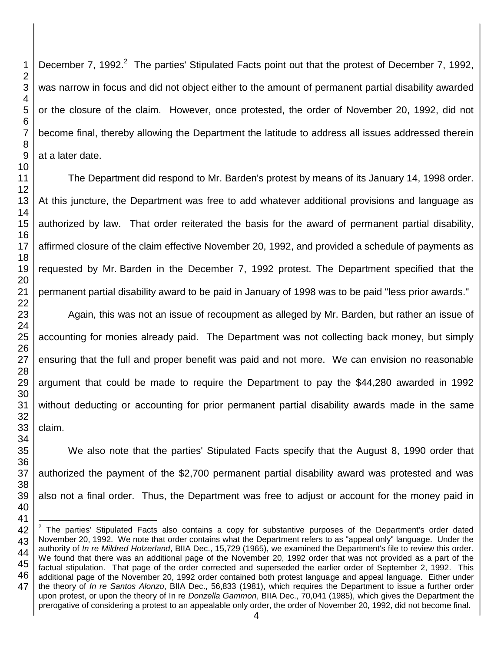December 7, 1992.<sup>2</sup> The parties' Stipulated Facts point out that the protest of December 7, 1992, was narrow in focus and did not object either to the amount of permanent partial disability awarded or the closure of the claim. However, once protested, the order of November 20, 1992, did not become final, thereby allowing the Department the latitude to address all issues addressed therein at a later date.

The Department did respond to Mr. Barden's protest by means of its January 14, 1998 order. At this juncture, the Department was free to add whatever additional provisions and language as authorized by law. That order reiterated the basis for the award of permanent partial disability, affirmed closure of the claim effective November 20, 1992, and provided a schedule of payments as requested by Mr. Barden in the December 7, 1992 protest. The Department specified that the permanent partial disability award to be paid in January of 1998 was to be paid "less prior awards."

Again, this was not an issue of recoupment as alleged by Mr. Barden, but rather an issue of accounting for monies already paid. The Department was not collecting back money, but simply ensuring that the full and proper benefit was paid and not more. We can envision no reasonable argument that could be made to require the Department to pay the \$44,280 awarded in 1992 without deducting or accounting for prior permanent partial disability awards made in the same claim.

We also note that the parties' Stipulated Facts specify that the August 8, 1990 order that authorized the payment of the \$2,700 permanent partial disability award was protested and was also not a final order. Thus, the Department was free to adjust or account for the money paid in

l The parties' Stipulated Facts also contains a copy for substantive purposes of the Department's order dated November 20, 1992. We note that order contains what the Department refers to as "appeal only" language. Under the authority of *In re Mildred Holzerland*, BIIA Dec., 15,729 (1965), we examined the Department's file to review this order. We found that there was an additional page of the November 20, 1992 order that was not provided as a part of the factual stipulation. That page of the order corrected and superseded the earlier order of September 2, 1992. This additional page of the November 20, 1992 order contained both protest language and appeal language. Either under the theory of *In re Santos Alonzo*, BIIA Dec., 56,833 (1981), which requires the Department to issue a further order upon protest, or upon the theory of In re *Donzella Gammon*, BIIA Dec., 70,041 (1985), which gives the Department the prerogative of considering a protest to an appealable only order, the order of November 20, 1992, did not become final.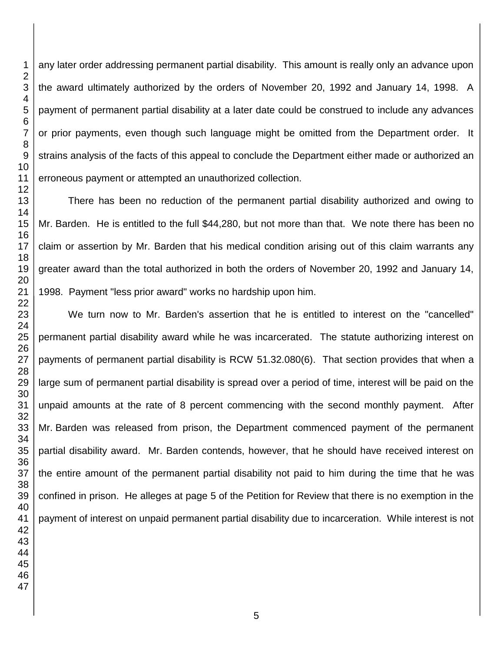any later order addressing permanent partial disability. This amount is really only an advance upon the award ultimately authorized by the orders of November 20, 1992 and January 14, 1998. A payment of permanent partial disability at a later date could be construed to include any advances or prior payments, even though such language might be omitted from the Department order. It strains analysis of the facts of this appeal to conclude the Department either made or authorized an erroneous payment or attempted an unauthorized collection.

There has been no reduction of the permanent partial disability authorized and owing to Mr. Barden. He is entitled to the full \$44,280, but not more than that. We note there has been no claim or assertion by Mr. Barden that his medical condition arising out of this claim warrants any greater award than the total authorized in both the orders of November 20, 1992 and January 14, 1998. Payment "less prior award" works no hardship upon him.

We turn now to Mr. Barden's assertion that he is entitled to interest on the "cancelled" permanent partial disability award while he was incarcerated. The statute authorizing interest on payments of permanent partial disability is RCW 51.32.080(6). That section provides that when a large sum of permanent partial disability is spread over a period of time, interest will be paid on the unpaid amounts at the rate of 8 percent commencing with the second monthly payment. After Mr. Barden was released from prison, the Department commenced payment of the permanent partial disability award. Mr. Barden contends, however, that he should have received interest on the entire amount of the permanent partial disability not paid to him during the time that he was confined in prison. He alleges at page 5 of the Petition for Review that there is no exemption in the payment of interest on unpaid permanent partial disability due to incarceration. While interest is not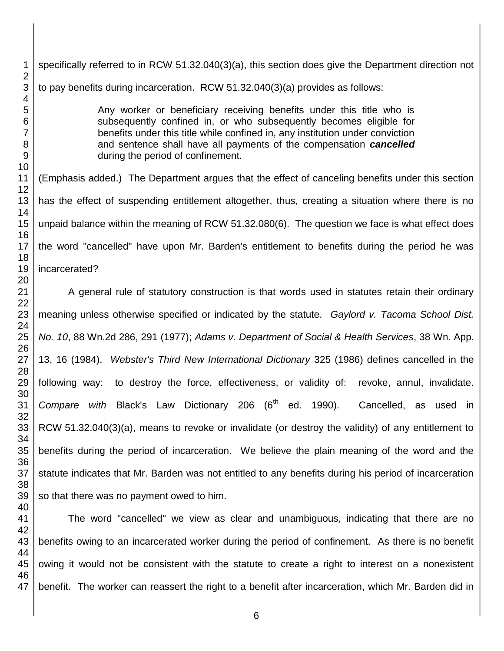specifically referred to in RCW 51.32.040(3)(a), this section does give the Department direction not to pay benefits during incarceration. RCW 51.32.040(3)(a) provides as follows:

> Any worker or beneficiary receiving benefits under this title who is subsequently confined in, or who subsequently becomes eligible for benefits under this title while confined in, any institution under conviction and sentence shall have all payments of the compensation *cancelled* during the period of confinement.

(Emphasis added.) The Department argues that the effect of canceling benefits under this section has the effect of suspending entitlement altogether, thus, creating a situation where there is no unpaid balance within the meaning of RCW 51.32.080(6). The question we face is what effect does the word "cancelled" have upon Mr. Barden's entitlement to benefits during the period he was incarcerated?

A general rule of statutory construction is that words used in statutes retain their ordinary meaning unless otherwise specified or indicated by the statute. *Gaylord v. Tacoma School Dist. No. 10*, 88 Wn.2d 286, 291 (1977); *Adams v. Department of Social & Health Services*, 38 Wn. App. 13, 16 (1984). *Webster's Third New International Dictionary* 325 (1986) defines cancelled in the following way: to destroy the force, effectiveness, or validity of: revoke, annul, invalidate. *Compare with* Black's Law Dictionary 206 (6<sup>th</sup> ed. 1990). Cancelled, as used in RCW 51.32.040(3)(a), means to revoke or invalidate (or destroy the validity) of any entitlement to benefits during the period of incarceration. We believe the plain meaning of the word and the statute indicates that Mr. Barden was not entitled to any benefits during his period of incarceration so that there was no payment owed to him.

The word "cancelled" we view as clear and unambiguous, indicating that there are no benefits owing to an incarcerated worker during the period of confinement. As there is no benefit owing it would not be consistent with the statute to create a right to interest on a nonexistent benefit. The worker can reassert the right to a benefit after incarceration, which Mr. Barden did in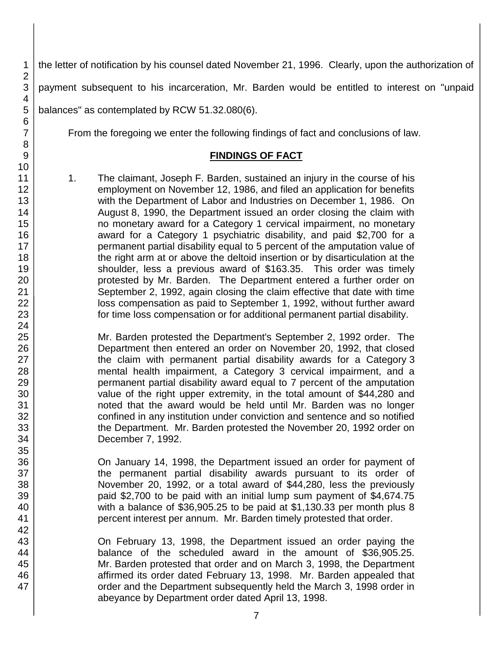the letter of notification by his counsel dated November 21, 1996. Clearly, upon the authorization of

payment subsequent to his incarceration, Mr. Barden would be entitled to interest on "unpaid

balances" as contemplated by RCW 51.32.080(6).

From the foregoing we enter the following findings of fact and conclusions of law.

## **FINDINGS OF FACT**

1. The claimant, Joseph F. Barden, sustained an injury in the course of his employment on November 12, 1986, and filed an application for benefits with the Department of Labor and Industries on December 1, 1986. On August 8, 1990, the Department issued an order closing the claim with no monetary award for a Category 1 cervical impairment, no monetary award for a Category 1 psychiatric disability, and paid \$2,700 for a permanent partial disability equal to 5 percent of the amputation value of the right arm at or above the deltoid insertion or by disarticulation at the shoulder, less a previous award of \$163.35. This order was timely protested by Mr. Barden. The Department entered a further order on September 2, 1992, again closing the claim effective that date with time loss compensation as paid to September 1, 1992, without further award for time loss compensation or for additional permanent partial disability.

Mr. Barden protested the Department's September 2, 1992 order. The Department then entered an order on November 20, 1992, that closed the claim with permanent partial disability awards for a Category 3 mental health impairment, a Category 3 cervical impairment, and a permanent partial disability award equal to 7 percent of the amputation value of the right upper extremity, in the total amount of \$44,280 and noted that the award would be held until Mr. Barden was no longer confined in any institution under conviction and sentence and so notified the Department. Mr. Barden protested the November 20, 1992 order on December 7, 1992.

On January 14, 1998, the Department issued an order for payment of the permanent partial disability awards pursuant to its order of November 20, 1992, or a total award of \$44,280, less the previously paid \$2,700 to be paid with an initial lump sum payment of \$4,674.75 with a balance of \$36,905.25 to be paid at \$1,130.33 per month plus 8 percent interest per annum. Mr. Barden timely protested that order.

On February 13, 1998, the Department issued an order paying the balance of the scheduled award in the amount of \$36,905.25. Mr. Barden protested that order and on March 3, 1998, the Department affirmed its order dated February 13, 1998. Mr. Barden appealed that order and the Department subsequently held the March 3, 1998 order in abeyance by Department order dated April 13, 1998.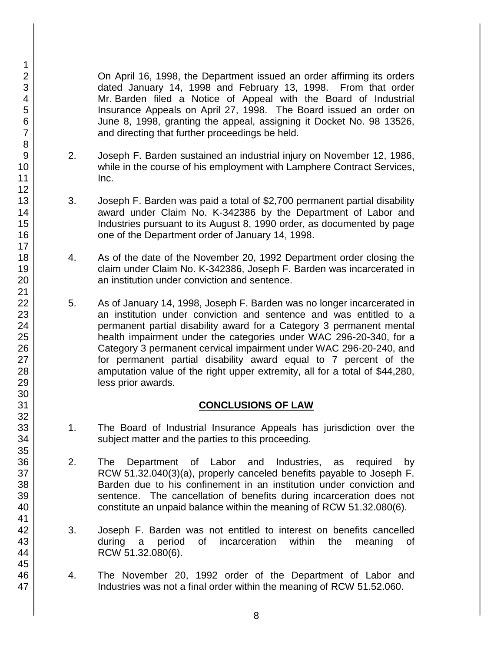On April 16, 1998, the Department issued an order affirming its orders dated January 14, 1998 and February 13, 1998. From that order Mr. Barden filed a Notice of Appeal with the Board of Industrial Insurance Appeals on April 27, 1998. The Board issued an order on June 8, 1998, granting the appeal, assigning it Docket No. 98 13526, and directing that further proceedings be held.

- 2. Joseph F. Barden sustained an industrial injury on November 12, 1986, while in the course of his employment with Lamphere Contract Services, Inc.
- 3. Joseph F. Barden was paid a total of \$2,700 permanent partial disability award under Claim No. K-342386 by the Department of Labor and Industries pursuant to its August 8, 1990 order, as documented by page one of the Department order of January 14, 1998.
- 4. As of the date of the November 20, 1992 Department order closing the claim under Claim No. K-342386, Joseph F. Barden was incarcerated in an institution under conviction and sentence.
- 5. As of January 14, 1998, Joseph F. Barden was no longer incarcerated in an institution under conviction and sentence and was entitled to a permanent partial disability award for a Category 3 permanent mental health impairment under the categories under WAC 296-20-340, for a Category 3 permanent cervical impairment under WAC 296-20-240, and for permanent partial disability award equal to 7 percent of the amputation value of the right upper extremity, all for a total of \$44,280, less prior awards.

### **CONCLUSIONS OF LAW**

- 1. The Board of Industrial Insurance Appeals has jurisdiction over the subject matter and the parties to this proceeding.
- 2. The Department of Labor and Industries, as required by RCW 51.32.040(3)(a), properly canceled benefits payable to Joseph F. Barden due to his confinement in an institution under conviction and sentence. The cancellation of benefits during incarceration does not constitute an unpaid balance within the meaning of RCW 51.32.080(6).
- 3. Joseph F. Barden was not entitled to interest on benefits cancelled during a period of incarceration within the meaning of RCW 51.32.080(6).
- 4. The November 20, 1992 order of the Department of Labor and Industries was not a final order within the meaning of RCW 51.52.060.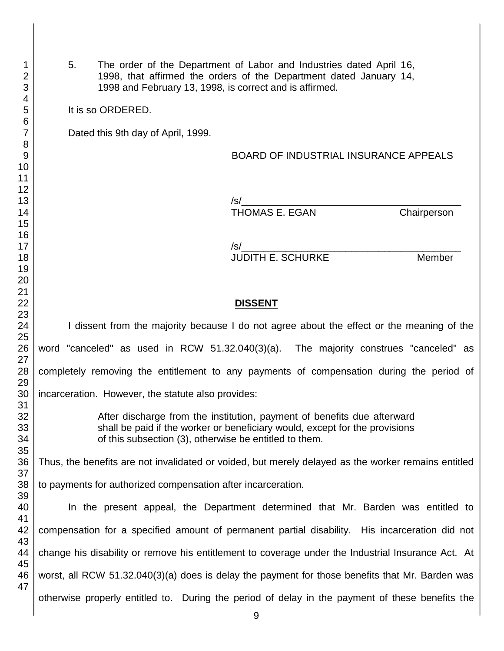| 1<br>$\overline{2}$<br>3 | 5.<br>The order of the Department of Labor and Industries dated April 16,<br>1998, that affirmed the orders of the Department dated January 14,<br>1998 and February 13, 1998, is correct and is affirmed. |                                                                                           |                                                                                                 |             |  |
|--------------------------|------------------------------------------------------------------------------------------------------------------------------------------------------------------------------------------------------------|-------------------------------------------------------------------------------------------|-------------------------------------------------------------------------------------------------|-------------|--|
| $\overline{4}$<br>5      | It is so ORDERED.                                                                                                                                                                                          |                                                                                           |                                                                                                 |             |  |
| 6<br>$\overline{7}$      | Dated this 9th day of April, 1999.                                                                                                                                                                         |                                                                                           |                                                                                                 |             |  |
| 8                        |                                                                                                                                                                                                            |                                                                                           |                                                                                                 |             |  |
| 9                        |                                                                                                                                                                                                            |                                                                                           | <b>BOARD OF INDUSTRIAL INSURANCE APPEALS</b>                                                    |             |  |
| 10<br>11                 |                                                                                                                                                                                                            |                                                                                           |                                                                                                 |             |  |
| 12                       |                                                                                                                                                                                                            |                                                                                           |                                                                                                 |             |  |
| 13                       |                                                                                                                                                                                                            |                                                                                           | $\frac{1}{s}$                                                                                   |             |  |
| 14                       |                                                                                                                                                                                                            |                                                                                           | THOMAS E. EGAN                                                                                  | Chairperson |  |
| 15<br>16                 |                                                                                                                                                                                                            |                                                                                           |                                                                                                 |             |  |
| 17                       |                                                                                                                                                                                                            |                                                                                           |                                                                                                 |             |  |
| 18                       |                                                                                                                                                                                                            |                                                                                           |                                                                                                 | Member      |  |
| 19                       |                                                                                                                                                                                                            |                                                                                           |                                                                                                 |             |  |
| 20<br>21                 |                                                                                                                                                                                                            |                                                                                           |                                                                                                 |             |  |
| 22                       |                                                                                                                                                                                                            |                                                                                           | <b>DISSENT</b>                                                                                  |             |  |
| 23                       |                                                                                                                                                                                                            |                                                                                           |                                                                                                 |             |  |
| 24                       |                                                                                                                                                                                                            | I dissent from the majority because I do not agree about the effect or the meaning of the |                                                                                                 |             |  |
| 25<br>26                 | word "canceled" as used in RCW 51.32.040(3)(a). The majority construes "canceled" as                                                                                                                       |                                                                                           |                                                                                                 |             |  |
| 27                       |                                                                                                                                                                                                            |                                                                                           |                                                                                                 |             |  |
| 28                       | completely removing the entitlement to any payments of compensation during the period of                                                                                                                   |                                                                                           |                                                                                                 |             |  |
| 29                       |                                                                                                                                                                                                            |                                                                                           |                                                                                                 |             |  |
| 30                       | incarceration. However, the statute also provides:                                                                                                                                                         |                                                                                           |                                                                                                 |             |  |
| 31<br>32                 | After discharge from the institution, payment of benefits due afterward                                                                                                                                    |                                                                                           |                                                                                                 |             |  |
| 33                       | shall be paid if the worker or beneficiary would, except for the provisions                                                                                                                                |                                                                                           |                                                                                                 |             |  |
| 34                       | of this subsection (3), otherwise be entitled to them.                                                                                                                                                     |                                                                                           |                                                                                                 |             |  |
| 35                       |                                                                                                                                                                                                            |                                                                                           |                                                                                                 |             |  |
| 36<br>37                 | Thus, the benefits are not invalidated or voided, but merely delayed as the worker remains entitled                                                                                                        |                                                                                           |                                                                                                 |             |  |
| 38                       | to payments for authorized compensation after incarceration.                                                                                                                                               |                                                                                           |                                                                                                 |             |  |
| 39                       |                                                                                                                                                                                                            |                                                                                           |                                                                                                 |             |  |
| 40                       |                                                                                                                                                                                                            |                                                                                           | In the present appeal, the Department determined that Mr. Barden was entitled to                |             |  |
| 41<br>42                 | compensation for a specified amount of permanent partial disability. His incarceration did not                                                                                                             |                                                                                           |                                                                                                 |             |  |
| 43                       |                                                                                                                                                                                                            |                                                                                           |                                                                                                 |             |  |
| 44                       | change his disability or remove his entitlement to coverage under the Industrial Insurance Act. At                                                                                                         |                                                                                           |                                                                                                 |             |  |
| 45                       |                                                                                                                                                                                                            |                                                                                           |                                                                                                 |             |  |
| 46<br>47                 | worst, all RCW 51.32.040(3)(a) does is delay the payment for those benefits that Mr. Barden was                                                                                                            |                                                                                           |                                                                                                 |             |  |
|                          |                                                                                                                                                                                                            |                                                                                           | otherwise properly entitled to. During the period of delay in the payment of these benefits the |             |  |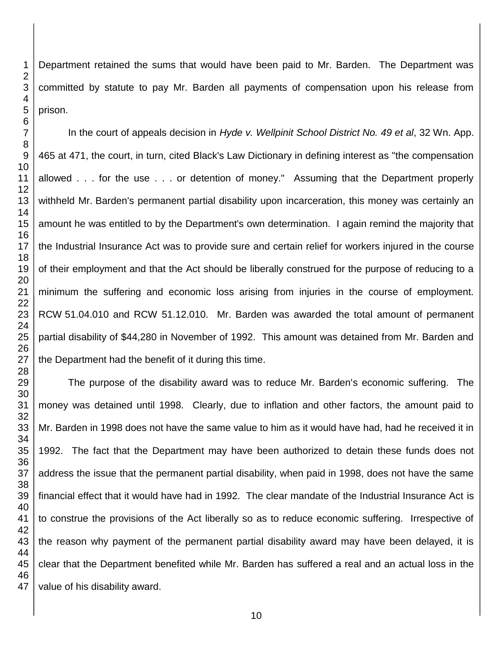Department retained the sums that would have been paid to Mr. Barden. The Department was committed by statute to pay Mr. Barden all payments of compensation upon his release from prison.

In the court of appeals decision in *Hyde v. Wellpinit School District No. 49 et al*, 32 Wn. App. 465 at 471, the court, in turn, cited Black's Law Dictionary in defining interest as "the compensation allowed . . . for the use . . . or detention of money." Assuming that the Department properly withheld Mr. Barden's permanent partial disability upon incarceration, this money was certainly an amount he was entitled to by the Department's own determination. I again remind the majority that the Industrial Insurance Act was to provide sure and certain relief for workers injured in the course of their employment and that the Act should be liberally construed for the purpose of reducing to a minimum the suffering and economic loss arising from injuries in the course of employment. RCW 51.04.010 and RCW 51.12.010. Mr. Barden was awarded the total amount of permanent partial disability of \$44,280 in November of 1992. This amount was detained from Mr. Barden and the Department had the benefit of it during this time.

The purpose of the disability award was to reduce Mr. Barden's economic suffering. The money was detained until 1998. Clearly, due to inflation and other factors, the amount paid to Mr. Barden in 1998 does not have the same value to him as it would have had, had he received it in 1992. The fact that the Department may have been authorized to detain these funds does not address the issue that the permanent partial disability, when paid in 1998, does not have the same financial effect that it would have had in 1992. The clear mandate of the Industrial Insurance Act is to construe the provisions of the Act liberally so as to reduce economic suffering. Irrespective of the reason why payment of the permanent partial disability award may have been delayed, it is clear that the Department benefited while Mr. Barden has suffered a real and an actual loss in the value of his disability award.